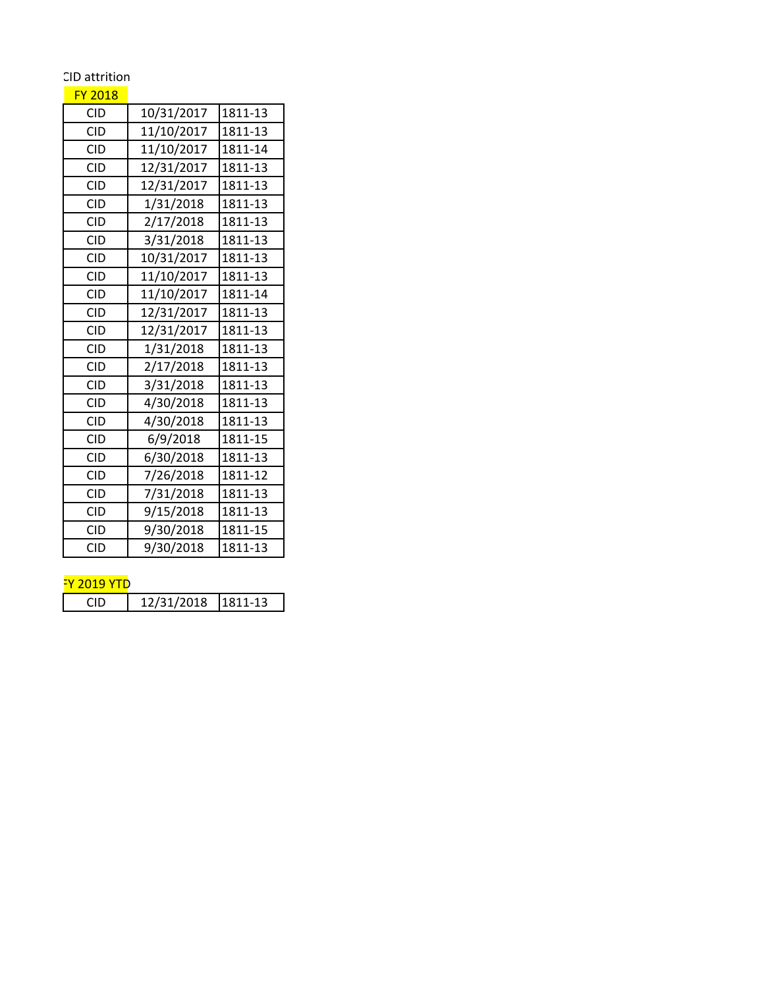## CID attrition

## FY 2018

| <b>CID</b> | 10/31/2017 | 1811-13 |
|------------|------------|---------|
| <b>CID</b> | 11/10/2017 | 1811-13 |
| <b>CID</b> | 11/10/2017 | 1811-14 |
| <b>CID</b> | 12/31/2017 | 1811-13 |
| <b>CID</b> | 12/31/2017 | 1811-13 |
| <b>CID</b> | 1/31/2018  | 1811-13 |
| <b>CID</b> | 2/17/2018  | 1811-13 |
| CID        | 3/31/2018  | 1811-13 |
| <b>CID</b> | 10/31/2017 | 1811-13 |
| <b>CID</b> | 11/10/2017 | 1811-13 |
| <b>CID</b> | 11/10/2017 | 1811-14 |
| <b>CID</b> | 12/31/2017 | 1811-13 |
| <b>CID</b> | 12/31/2017 | 1811-13 |
| <b>CID</b> | 1/31/2018  | 1811-13 |
| <b>CID</b> | 2/17/2018  | 1811-13 |
| <b>CID</b> | 3/31/2018  | 1811-13 |
| <b>CID</b> | 4/30/2018  | 1811-13 |
| <b>CID</b> | 4/30/2018  | 1811-13 |
| <b>CID</b> | 6/9/2018   | 1811-15 |
| <b>CID</b> | 6/30/2018  | 1811-13 |
| <b>CID</b> | 7/26/2018  | 1811-12 |
| <b>CID</b> | 7/31/2018  | 1811-13 |
| <b>CID</b> | 9/15/2018  | 1811-13 |
| <b>CID</b> | 9/30/2018  | 1811-15 |
| <b>CID</b> | 9/30/2018  | 1811-13 |

## <mark>FY 2019 YTD</mark>

| 12/31/2018 1811-13 |
|--------------------|
|--------------------|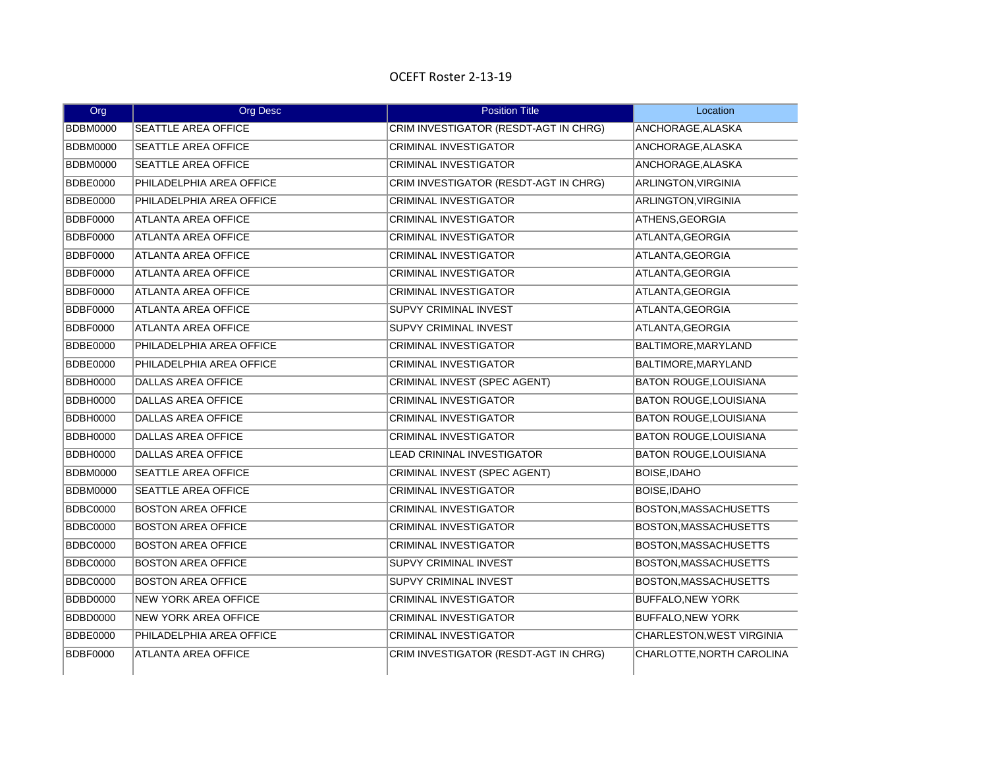## OCEFT Roster 2-13-19

| Org             | Org Desc                    | <b>Position Title</b>                 | Location                         |
|-----------------|-----------------------------|---------------------------------------|----------------------------------|
| <b>BDBM0000</b> | <b>SEATTLE AREA OFFICE</b>  | CRIM INVESTIGATOR (RESDT-AGT IN CHRG) | ANCHORAGE, ALASKA                |
| <b>BDBM0000</b> | <b>SEATTLE AREA OFFICE</b>  | <b>CRIMINAL INVESTIGATOR</b>          | ANCHORAGE, ALASKA                |
| <b>BDBM0000</b> | <b>SEATTLE AREA OFFICE</b>  | <b>CRIMINAL INVESTIGATOR</b>          | ANCHORAGE, ALASKA                |
| <b>BDBE0000</b> | PHILADELPHIA AREA OFFICE    | CRIM INVESTIGATOR (RESDT-AGT IN CHRG) | ARLINGTON, VIRGINIA              |
| <b>BDBE0000</b> | PHILADELPHIA AREA OFFICE    | <b>CRIMINAL INVESTIGATOR</b>          | <b>ARLINGTON, VIRGINIA</b>       |
| <b>BDBF0000</b> | ATLANTA AREA OFFICE         | <b>CRIMINAL INVESTIGATOR</b>          | ATHENS, GEORGIA                  |
| <b>BDBF0000</b> | <b>ATLANTA AREA OFFICE</b>  | <b>CRIMINAL INVESTIGATOR</b>          | ATLANTA, GEORGIA                 |
| <b>BDBF0000</b> | <b>ATLANTA AREA OFFICE</b>  | <b>CRIMINAL INVESTIGATOR</b>          | ATLANTA, GEORGIA                 |
| <b>BDBF0000</b> | <b>ATLANTA AREA OFFICE</b>  | <b>CRIMINAL INVESTIGATOR</b>          | ATLANTA, GEORGIA                 |
| <b>BDBF0000</b> | <b>ATLANTA AREA OFFICE</b>  | <b>CRIMINAL INVESTIGATOR</b>          | ATLANTA, GEORGIA                 |
| BDBF0000        | <b>ATLANTA AREA OFFICE</b>  | <b>SUPVY CRIMINAL INVEST</b>          | ATLANTA, GEORGIA                 |
| <b>BDBF0000</b> | ATLANTA AREA OFFICE         | SUPVY CRIMINAL INVEST                 | ATLANTA, GEORGIA                 |
| <b>BDBE0000</b> | PHILADELPHIA AREA OFFICE    | <b>CRIMINAL INVESTIGATOR</b>          | BALTIMORE, MARYLAND              |
| <b>BDBE0000</b> | PHILADELPHIA AREA OFFICE    | <b>CRIMINAL INVESTIGATOR</b>          | BALTIMORE, MARYLAND              |
| <b>BDBH0000</b> | <b>DALLAS AREA OFFICE</b>   | CRIMINAL INVEST (SPEC AGENT)          | <b>BATON ROUGE, LOUISIANA</b>    |
| <b>BDBH0000</b> | <b>DALLAS AREA OFFICE</b>   | <b>CRIMINAL INVESTIGATOR</b>          | <b>BATON ROUGE, LOUISIANA</b>    |
| <b>BDBH0000</b> | <b>DALLAS AREA OFFICE</b>   | CRIMINAL INVESTIGATOR                 | BATON ROUGE, LOUISIANA           |
| <b>BDBH0000</b> | <b>DALLAS AREA OFFICE</b>   | <b>CRIMINAL INVESTIGATOR</b>          | <b>BATON ROUGE, LOUISIANA</b>    |
| <b>BDBH0000</b> | <b>DALLAS AREA OFFICE</b>   | <b>LEAD CRININAL INVESTIGATOR</b>     | <b>BATON ROUGE, LOUISIANA</b>    |
| <b>BDBM0000</b> | <b>SEATTLE AREA OFFICE</b>  | CRIMINAL INVEST (SPEC AGENT)          | BOISE, IDAHO                     |
| <b>BDBM0000</b> | <b>SEATTLE AREA OFFICE</b>  | <b>CRIMINAL INVESTIGATOR</b>          | <b>BOISE, IDAHO</b>              |
| <b>BDBC0000</b> | <b>BOSTON AREA OFFICE</b>   | <b>CRIMINAL INVESTIGATOR</b>          | BOSTON, MASSACHUSETTS            |
| <b>BDBC0000</b> | <b>BOSTON AREA OFFICE</b>   | <b>CRIMINAL INVESTIGATOR</b>          | BOSTON, MASSACHUSETTS            |
| <b>BDBC0000</b> | <b>BOSTON AREA OFFICE</b>   | <b>CRIMINAL INVESTIGATOR</b>          | BOSTON, MASSACHUSETTS            |
| <b>BDBC0000</b> | <b>BOSTON AREA OFFICE</b>   | <b>SUPVY CRIMINAL INVEST</b>          | <b>BOSTON, MASSACHUSETTS</b>     |
| <b>BDBC0000</b> | <b>BOSTON AREA OFFICE</b>   | <b>SUPVY CRIMINAL INVEST</b>          | BOSTON, MASSACHUSETTS            |
| <b>BDBD0000</b> | <b>NEW YORK AREA OFFICE</b> | <b>CRIMINAL INVESTIGATOR</b>          | <b>BUFFALO, NEW YORK</b>         |
| BDBD0000        | <b>NEW YORK AREA OFFICE</b> | <b>CRIMINAL INVESTIGATOR</b>          | <b>BUFFALO, NEW YORK</b>         |
| <b>BDBE0000</b> | PHILADELPHIA AREA OFFICE    | CRIMINAL INVESTIGATOR                 | <b>CHARLESTON, WEST VIRGINIA</b> |
| <b>BDBF0000</b> | <b>ATLANTA AREA OFFICE</b>  | CRIM INVESTIGATOR (RESDT-AGT IN CHRG) | CHARLOTTE, NORTH CAROLINA        |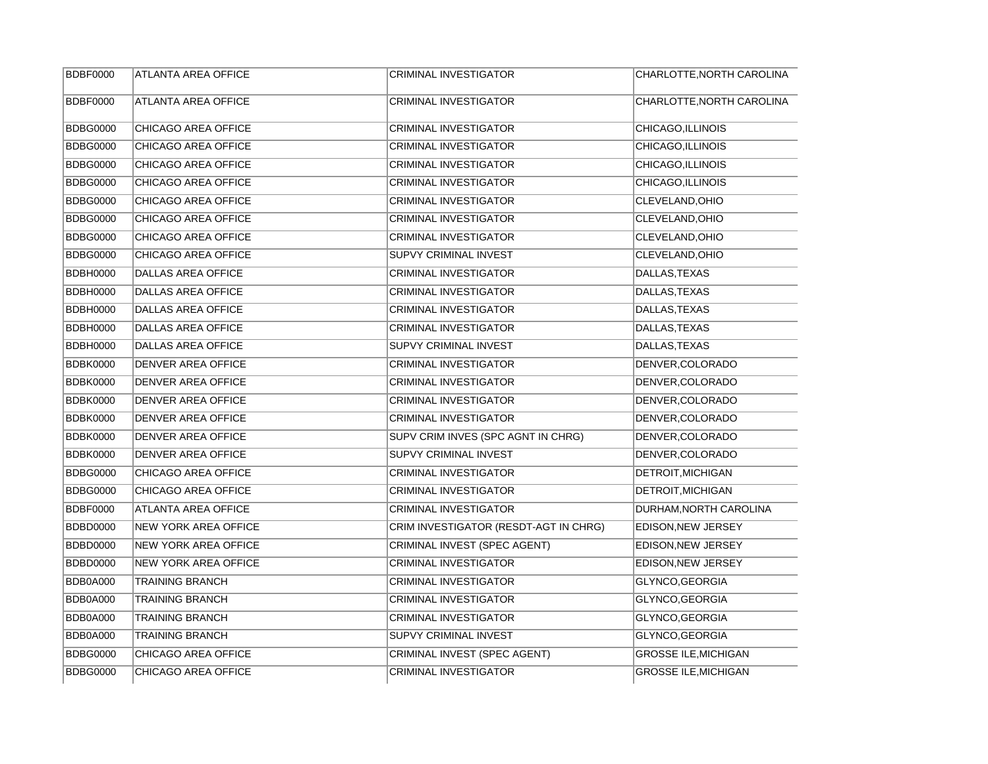| <b>BDBF0000</b> | <b>ATLANTA AREA OFFICE</b>  | <b>CRIMINAL INVESTIGATOR</b>          | CHARLOTTE, NORTH CAROLINA   |
|-----------------|-----------------------------|---------------------------------------|-----------------------------|
| <b>BDBF0000</b> | <b>ATLANTA AREA OFFICE</b>  | <b>CRIMINAL INVESTIGATOR</b>          | CHARLOTTE, NORTH CAROLINA   |
| <b>BDBG0000</b> | CHICAGO AREA OFFICE         | <b>CRIMINAL INVESTIGATOR</b>          | CHICAGO, ILLINOIS           |
| <b>BDBG0000</b> | CHICAGO AREA OFFICE         | CRIMINAL INVESTIGATOR                 | CHICAGO, ILLINOIS           |
| <b>BDBG0000</b> | CHICAGO AREA OFFICE         | <b>CRIMINAL INVESTIGATOR</b>          | CHICAGO, ILLINOIS           |
| <b>BDBG0000</b> | CHICAGO AREA OFFICE         | <b>CRIMINAL INVESTIGATOR</b>          | CHICAGO, ILLINOIS           |
| <b>BDBG0000</b> | CHICAGO AREA OFFICE         | <b>CRIMINAL INVESTIGATOR</b>          | CLEVELAND, OHIO             |
| <b>BDBG0000</b> | CHICAGO AREA OFFICE         | <b>CRIMINAL INVESTIGATOR</b>          | CLEVELAND, OHIO             |
| <b>BDBG0000</b> | CHICAGO AREA OFFICE         | <b>CRIMINAL INVESTIGATOR</b>          | CLEVELAND, OHIO             |
| <b>BDBG0000</b> | CHICAGO AREA OFFICE         | SUPVY CRIMINAL INVEST                 | CLEVELAND, OHIO             |
| <b>BDBH0000</b> | <b>DALLAS AREA OFFICE</b>   | <b>CRIMINAL INVESTIGATOR</b>          | DALLAS, TEXAS               |
| <b>BDBH0000</b> | <b>DALLAS AREA OFFICE</b>   | <b>CRIMINAL INVESTIGATOR</b>          | DALLAS, TEXAS               |
| <b>BDBH0000</b> | DALLAS AREA OFFICE          | CRIMINAL INVESTIGATOR                 | DALLAS, TEXAS               |
| <b>BDBH0000</b> | <b>DALLAS AREA OFFICE</b>   | <b>CRIMINAL INVESTIGATOR</b>          | DALLAS, TEXAS               |
| <b>BDBH0000</b> | DALLAS AREA OFFICE          | SUPVY CRIMINAL INVEST                 | DALLAS, TEXAS               |
| <b>BDBK0000</b> | DENVER AREA OFFICE          | <b>CRIMINAL INVESTIGATOR</b>          | DENVER, COLORADO            |
| <b>BDBK0000</b> | DENVER AREA OFFICE          | <b>CRIMINAL INVESTIGATOR</b>          | DENVER, COLORADO            |
| <b>BDBK0000</b> | DENVER AREA OFFICE          | <b>CRIMINAL INVESTIGATOR</b>          | DENVER, COLORADO            |
| <b>BDBK0000</b> | DENVER AREA OFFICE          | <b>CRIMINAL INVESTIGATOR</b>          | DENVER, COLORADO            |
| <b>BDBK0000</b> | <b>DENVER AREA OFFICE</b>   | SUPV CRIM INVES (SPC AGNT IN CHRG)    | DENVER, COLORADO            |
| <b>BDBK0000</b> | DENVER AREA OFFICE          | SUPVY CRIMINAL INVEST                 | DENVER, COLORADO            |
| <b>BDBG0000</b> | CHICAGO AREA OFFICE         | <b>CRIMINAL INVESTIGATOR</b>          | DETROIT, MICHIGAN           |
| <b>BDBG0000</b> | CHICAGO AREA OFFICE         | <b>CRIMINAL INVESTIGATOR</b>          | DETROIT.MICHIGAN            |
| <b>BDBF0000</b> | <b>ATLANTA AREA OFFICE</b>  | <b>CRIMINAL INVESTIGATOR</b>          | DURHAM, NORTH CAROLINA      |
| <b>BDBD0000</b> | <b>NEW YORK AREA OFFICE</b> | CRIM INVESTIGATOR (RESDT-AGT IN CHRG) | EDISON, NEW JERSEY          |
| <b>BDBD0000</b> | <b>NEW YORK AREA OFFICE</b> | CRIMINAL INVEST (SPEC AGENT)          | EDISON, NEW JERSEY          |
| <b>BDBD0000</b> | <b>NEW YORK AREA OFFICE</b> | <b>CRIMINAL INVESTIGATOR</b>          | EDISON, NEW JERSEY          |
| BDB0A000        | <b>TRAINING BRANCH</b>      | <b>CRIMINAL INVESTIGATOR</b>          | GLYNCO, GEORGIA             |
| BDB0A000        | <b>TRAINING BRANCH</b>      | <b>CRIMINAL INVESTIGATOR</b>          | GLYNCO, GEORGIA             |
| BDB0A000        | <b>TRAINING BRANCH</b>      | <b>CRIMINAL INVESTIGATOR</b>          | GLYNCO, GEORGIA             |
| <b>BDB0A000</b> | <b>TRAINING BRANCH</b>      | SUPVY CRIMINAL INVEST                 | GLYNCO, GEORGIA             |
| <b>BDBG0000</b> | CHICAGO AREA OFFICE         | CRIMINAL INVEST (SPEC AGENT)          | <b>GROSSE ILE, MICHIGAN</b> |
| <b>BDBG0000</b> | CHICAGO AREA OFFICE         | <b>CRIMINAL INVESTIGATOR</b>          | <b>GROSSE ILE, MICHIGAN</b> |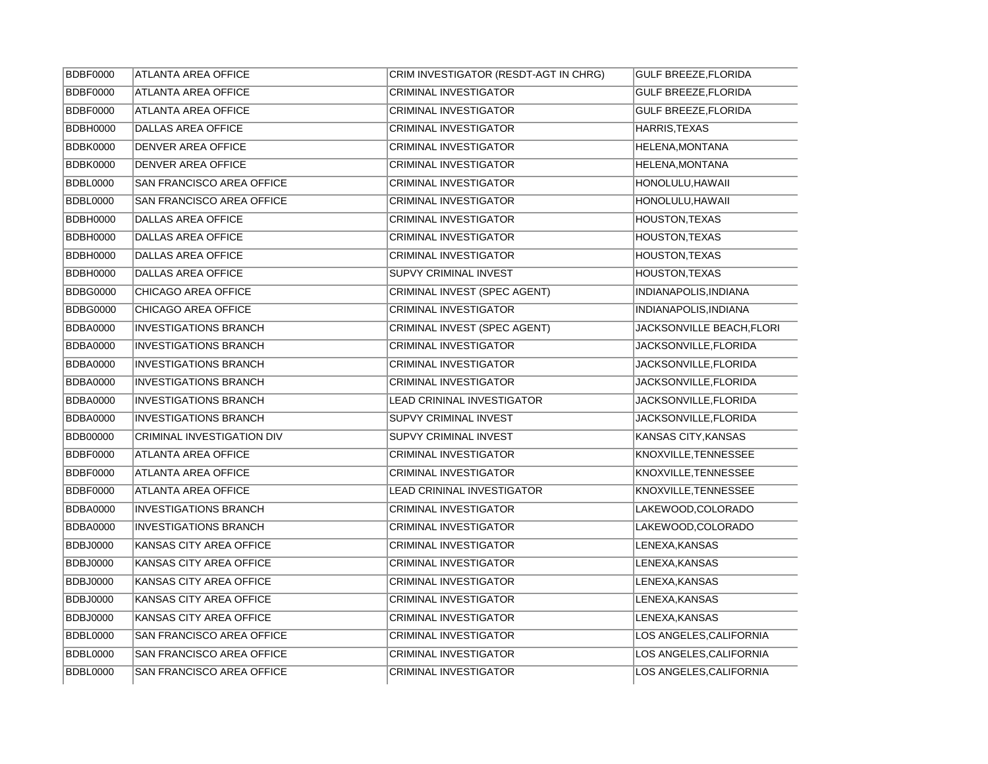| <b>BDBF0000</b> | <b>ATLANTA AREA OFFICE</b>       | CRIM INVESTIGATOR (RESDT-AGT IN CHRG) | <b>GULF BREEZE, FLORIDA</b> |
|-----------------|----------------------------------|---------------------------------------|-----------------------------|
| <b>BDBF0000</b> | <b>ATLANTA AREA OFFICE</b>       | <b>CRIMINAL INVESTIGATOR</b>          | <b>GULF BREEZE, FLORIDA</b> |
| <b>BDBF0000</b> | <b>ATLANTA AREA OFFICE</b>       | <b>CRIMINAL INVESTIGATOR</b>          | <b>GULF BREEZE, FLORIDA</b> |
| <b>BDBH0000</b> | <b>DALLAS AREA OFFICE</b>        | <b>CRIMINAL INVESTIGATOR</b>          | HARRIS, TEXAS               |
| <b>BDBK0000</b> | <b>DENVER AREA OFFICE</b>        | CRIMINAL INVESTIGATOR                 | HELENA, MONTANA             |
| <b>BDBK0000</b> | <b>DENVER AREA OFFICE</b>        | <b>CRIMINAL INVESTIGATOR</b>          | HELENA, MONTANA             |
| <b>BDBL0000</b> | SAN FRANCISCO AREA OFFICE        | <b>CRIMINAL INVESTIGATOR</b>          | HONOLULU, HAWAII            |
| <b>BDBL0000</b> | SAN FRANCISCO AREA OFFICE        | <b>CRIMINAL INVESTIGATOR</b>          | HONOLULU, HAWAII            |
| <b>BDBH0000</b> | <b>DALLAS AREA OFFICE</b>        | <b>CRIMINAL INVESTIGATOR</b>          | <b>HOUSTON, TEXAS</b>       |
| <b>BDBH0000</b> | <b>DALLAS AREA OFFICE</b>        | <b>CRIMINAL INVESTIGATOR</b>          | <b>HOUSTON, TEXAS</b>       |
| <b>BDBH0000</b> | <b>DALLAS AREA OFFICE</b>        | <b>CRIMINAL INVESTIGATOR</b>          | <b>HOUSTON, TEXAS</b>       |
| <b>BDBH0000</b> | <b>DALLAS AREA OFFICE</b>        | <b>SUPVY CRIMINAL INVEST</b>          | HOUSTON, TEXAS              |
| <b>BDBG0000</b> | CHICAGO AREA OFFICE              | CRIMINAL INVEST (SPEC AGENT)          | INDIANAPOLIS, INDIANA       |
| <b>BDBG0000</b> | CHICAGO AREA OFFICE              | <b>CRIMINAL INVESTIGATOR</b>          | INDIANAPOLIS, INDIANA       |
| <b>BDBA0000</b> | <b>INVESTIGATIONS BRANCH</b>     | CRIMINAL INVEST (SPEC AGENT)          | JACKSONVILLE BEACH, FLORI   |
| <b>BDBA0000</b> | <b>INVESTIGATIONS BRANCH</b>     | CRIMINAL INVESTIGATOR                 | JACKSONVILLE, FLORIDA       |
| <b>BDBA0000</b> | <b>INVESTIGATIONS BRANCH</b>     | CRIMINAL INVESTIGATOR                 | JACKSONVILLE, FLORIDA       |
| <b>BDBA0000</b> | <b>INVESTIGATIONS BRANCH</b>     | <b>CRIMINAL INVESTIGATOR</b>          | JACKSONVILLE, FLORIDA       |
| <b>BDBA0000</b> | <b>INVESTIGATIONS BRANCH</b>     | LEAD CRININAL INVESTIGATOR            | JACKSONVILLE, FLORIDA       |
| <b>BDBA0000</b> | <b>INVESTIGATIONS BRANCH</b>     | SUPVY CRIMINAL INVEST                 | JACKSONVILLE, FLORIDA       |
| <b>BDB00000</b> | CRIMINAL INVESTIGATION DIV       | <b>SUPVY CRIMINAL INVEST</b>          | KANSAS CITY, KANSAS         |
| <b>BDBF0000</b> | ATLANTA AREA OFFICE              | <b>CRIMINAL INVESTIGATOR</b>          | KNOXVILLE, TENNESSEE        |
| <b>BDBF0000</b> | ATLANTA AREA OFFICE              | CRIMINAL INVESTIGATOR                 | KNOXVILLE, TENNESSEE        |
| <b>BDBF0000</b> | <b>ATLANTA AREA OFFICE</b>       | <b>LEAD CRININAL INVESTIGATOR</b>     | KNOXVILLE, TENNESSEE        |
| <b>BDBA0000</b> | <b>INVESTIGATIONS BRANCH</b>     | <b>CRIMINAL INVESTIGATOR</b>          | LAKEWOOD, COLORADO          |
| <b>BDBA0000</b> | <b>INVESTIGATIONS BRANCH</b>     | <b>CRIMINAL INVESTIGATOR</b>          | LAKEWOOD, COLORADO          |
| <b>BDBJ0000</b> | KANSAS CITY AREA OFFICE          | <b>CRIMINAL INVESTIGATOR</b>          | LENEXA, KANSAS              |
| <b>BDBJ0000</b> | KANSAS CITY AREA OFFICE          | <b>CRIMINAL INVESTIGATOR</b>          | LENEXA, KANSAS              |
| <b>BDBJ0000</b> | KANSAS CITY AREA OFFICE          | <b>CRIMINAL INVESTIGATOR</b>          | LENEXA, KANSAS              |
| <b>BDBJ0000</b> | KANSAS CITY AREA OFFICE          | <b>CRIMINAL INVESTIGATOR</b>          | LENEXA, KANSAS              |
| <b>BDBJ0000</b> | KANSAS CITY AREA OFFICE          | <b>CRIMINAL INVESTIGATOR</b>          | LENEXA, KANSAS              |
| <b>BDBL0000</b> | SAN FRANCISCO AREA OFFICE        | <b>CRIMINAL INVESTIGATOR</b>          | LOS ANGELES, CALIFORNIA     |
| <b>BDBL0000</b> | <b>SAN FRANCISCO AREA OFFICE</b> | <b>CRIMINAL INVESTIGATOR</b>          | LOS ANGELES.CALIFORNIA      |
| <b>BDBL0000</b> | SAN FRANCISCO AREA OFFICE        | <b>CRIMINAL INVESTIGATOR</b>          | LOS ANGELES, CALIFORNIA     |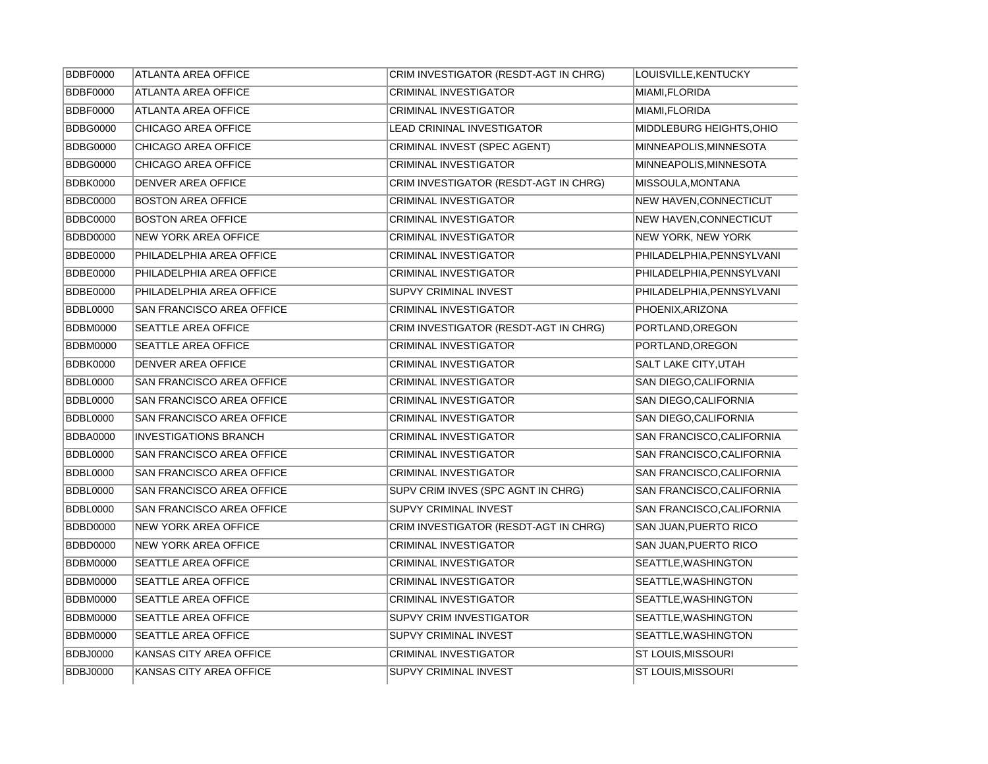| <b>BDBF0000</b> | <b>ATLANTA AREA OFFICE</b>       | CRIM INVESTIGATOR (RESDT-AGT IN CHRG) | LOUISVILLE, KENTUCKY          |
|-----------------|----------------------------------|---------------------------------------|-------------------------------|
| <b>BDBF0000</b> | <b>ATLANTA AREA OFFICE</b>       | <b>CRIMINAL INVESTIGATOR</b>          | MIAMI, FLORIDA                |
| <b>BDBF0000</b> | <b>ATLANTA AREA OFFICE</b>       | <b>CRIMINAL INVESTIGATOR</b>          | MIAMI, FLORIDA                |
| <b>BDBG0000</b> | CHICAGO AREA OFFICE              | <b>LEAD CRININAL INVESTIGATOR</b>     | MIDDLEBURG HEIGHTS, OHIO      |
| <b>BDBG0000</b> | CHICAGO AREA OFFICE              | CRIMINAL INVEST (SPEC AGENT)          | MINNEAPOLIS, MINNESOTA        |
| <b>BDBG0000</b> | CHICAGO AREA OFFICE              | <b>CRIMINAL INVESTIGATOR</b>          | MINNEAPOLIS.MINNESOTA         |
| <b>BDBK0000</b> | DENVER AREA OFFICE               | CRIM INVESTIGATOR (RESDT-AGT IN CHRG) | MISSOULA, MONTANA             |
| <b>BDBC0000</b> | <b>BOSTON AREA OFFICE</b>        | CRIMINAL INVESTIGATOR                 | <b>NEW HAVEN, CONNECTICUT</b> |
| <b>BDBC0000</b> | <b>BOSTON AREA OFFICE</b>        | CRIMINAL INVESTIGATOR                 | <b>NEW HAVEN, CONNECTICUT</b> |
| <b>BDBD0000</b> | <b>NEW YORK AREA OFFICE</b>      | CRIMINAL INVESTIGATOR                 | NEW YORK, NEW YORK            |
| <b>BDBE0000</b> | PHILADELPHIA AREA OFFICE         | <b>CRIMINAL INVESTIGATOR</b>          | PHILADELPHIA, PENNSYLVANI     |
| <b>BDBE0000</b> | PHILADELPHIA AREA OFFICE         | <b>CRIMINAL INVESTIGATOR</b>          | PHILADELPHIA, PENNSYLVANI     |
| <b>BDBE0000</b> | PHILADELPHIA AREA OFFICE         | <b>SUPVY CRIMINAL INVEST</b>          | PHILADELPHIA, PENNSYLVANI     |
| <b>BDBL0000</b> | SAN FRANCISCO AREA OFFICE        | <b>CRIMINAL INVESTIGATOR</b>          | PHOENIX, ARIZONA              |
| <b>BDBM0000</b> | SEATTLE AREA OFFICE              | CRIM INVESTIGATOR (RESDT-AGT IN CHRG) | PORTLAND, OREGON              |
| <b>BDBM0000</b> | SEATTLE AREA OFFICE              | <b>CRIMINAL INVESTIGATOR</b>          | PORTLAND, OREGON              |
| <b>BDBK0000</b> | DENVER AREA OFFICE               | <b>CRIMINAL INVESTIGATOR</b>          | SALT LAKE CITY, UTAH          |
| <b>BDBL0000</b> | SAN FRANCISCO AREA OFFICE        | <b>CRIMINAL INVESTIGATOR</b>          | <b>SAN DIEGO.CALIFORNIA</b>   |
| <b>BDBL0000</b> | <b>SAN FRANCISCO AREA OFFICE</b> | <b>CRIMINAL INVESTIGATOR</b>          | SAN DIEGO, CALIFORNIA         |
| <b>BDBL0000</b> | SAN FRANCISCO AREA OFFICE        | CRIMINAL INVESTIGATOR                 | SAN DIEGO, CALIFORNIA         |
| <b>BDBA0000</b> | <b>INVESTIGATIONS BRANCH</b>     | CRIMINAL INVESTIGATOR                 | SAN FRANCISCO, CALIFORNIA     |
| <b>BDBL0000</b> | SAN FRANCISCO AREA OFFICE        | <b>CRIMINAL INVESTIGATOR</b>          | SAN FRANCISCO, CALIFORNIA     |
| <b>BDBL0000</b> | SAN FRANCISCO AREA OFFICE        | <b>CRIMINAL INVESTIGATOR</b>          | SAN FRANCISCO, CALIFORNIA     |
| <b>BDBL0000</b> | SAN FRANCISCO AREA OFFICE        | SUPV CRIM INVES (SPC AGNT IN CHRG)    | SAN FRANCISCO, CALIFORNIA     |
| <b>BDBL0000</b> | SAN FRANCISCO AREA OFFICE        | <b>SUPVY CRIMINAL INVEST</b>          | SAN FRANCISCO, CALIFORNIA     |
| <b>BDBD0000</b> | <b>NEW YORK AREA OFFICE</b>      | CRIM INVESTIGATOR (RESDT-AGT IN CHRG) | <b>SAN JUAN, PUERTO RICO</b>  |
| <b>BDBD0000</b> | <b>NEW YORK AREA OFFICE</b>      | <b>CRIMINAL INVESTIGATOR</b>          | <b>SAN JUAN, PUERTO RICO</b>  |
| <b>BDBM0000</b> | SEATTLE AREA OFFICE              | <b>CRIMINAL INVESTIGATOR</b>          | SEATTLE, WASHINGTON           |
| <b>BDBM0000</b> | SEATTLE AREA OFFICE              | <b>CRIMINAL INVESTIGATOR</b>          | SEATTLE, WASHINGTON           |
| <b>BDBM0000</b> | <b>SEATTLE AREA OFFICE</b>       | <b>CRIMINAL INVESTIGATOR</b>          | SEATTLE, WASHINGTON           |
| <b>BDBM0000</b> | SEATTLE AREA OFFICE              | <b>SUPVY CRIM INVESTIGATOR</b>        | SEATTLE, WASHINGTON           |
| <b>BDBM0000</b> | SEATTLE AREA OFFICE              | <b>SUPVY CRIMINAL INVEST</b>          | SEATTLE, WASHINGTON           |
| <b>BDBJ0000</b> | KANSAS CITY AREA OFFICE          | <b>CRIMINAL INVESTIGATOR</b>          | <b>ST LOUIS, MISSOURI</b>     |
| <b>BDBJ0000</b> | KANSAS CITY AREA OFFICE          | SUPVY CRIMINAL INVEST                 | <b>ST LOUIS, MISSOURI</b>     |